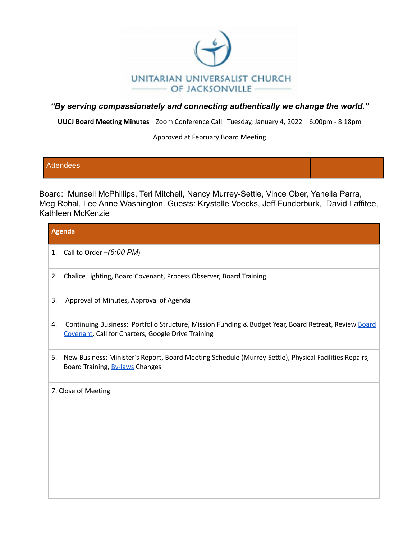

**UUCJ Board Meeting Minutes** Zoom Conference Call Tuesday, January 4, 2022 6:00pm - 8:18pm

Approved at February Board Meeting

### **Attendees**

Board: Munsell McPhillips, Teri Mitchell, Nancy Murrey-Settle, Vince Ober, Yanella Parra, Meg Rohal, Lee Anne Washington. Guests: Krystalle Voecks, Jeff Funderburk, David Laffitee, Kathleen McKenzie

| <b>Agenda</b>                                                                                                                                                    |  |
|------------------------------------------------------------------------------------------------------------------------------------------------------------------|--|
| 1. Call to Order $-(6.00 \text{ PM})$                                                                                                                            |  |
| Chalice Lighting, Board Covenant, Process Observer, Board Training<br>2.                                                                                         |  |
| Approval of Minutes, Approval of Agenda<br>3.                                                                                                                    |  |
| Continuing Business: Portfolio Structure, Mission Funding & Budget Year, Board Retreat, Review Board<br>4.<br>Covenant, Call for Charters, Google Drive Training |  |
| New Business: Minister's Report, Board Meeting Schedule (Murrey-Settle), Physical Facilities Repairs,<br>5.<br>Board Training, By-laws Changes                   |  |
| 7. Close of Meeting                                                                                                                                              |  |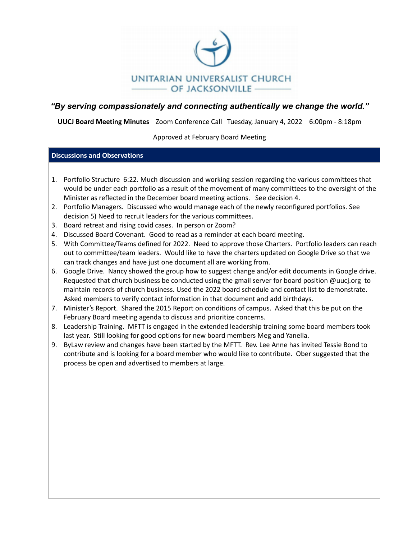

**UUCJ Board Meeting Minutes** Zoom Conference Call Tuesday, January 4, 2022 6:00pm - 8:18pm

Approved at February Board Meeting

#### **Discussions and Observations**

- 1. Portfolio Structure 6:22. Much discussion and working session regarding the various committees that would be under each portfolio as a result of the movement of many committees to the oversight of the Minister as reflected in the December board meeting actions. See decision 4.
- 2. Portfolio Managers. Discussed who would manage each of the newly reconfigured portfolios. See decision 5) Need to recruit leaders for the various committees.
- 3. Board retreat and rising covid cases. In person or Zoom?
- 4. Discussed Board Covenant. Good to read as a reminder at each board meeting.
- 5. With Committee/Teams defined for 2022. Need to approve those Charters. Portfolio leaders can reach out to committee/team leaders. Would like to have the charters updated on Google Drive so that we can track changes and have just one document all are working from.
- 6. Google Drive. Nancy showed the group how to suggest change and/or edit documents in Google drive. Requested that church business be conducted using the gmail server for board position @uucj.org to maintain records of church business. Used the 2022 board schedule and contact list to demonstrate. Asked members to verify contact information in that document and add birthdays.
- 7. Minister's Report. Shared the 2015 Report on conditions of campus. Asked that this be put on the February Board meeting agenda to discuss and prioritize concerns.
- 8. Leadership Training. MFTT is engaged in the extended leadership training some board members took last year. Still looking for good options for new board members Meg and Yanella.
- 9. ByLaw review and changes have been started by the MFTT. Rev. Lee Anne has invited Tessie Bond to contribute and is looking for a board member who would like to contribute. Ober suggested that the process be open and advertised to members at large.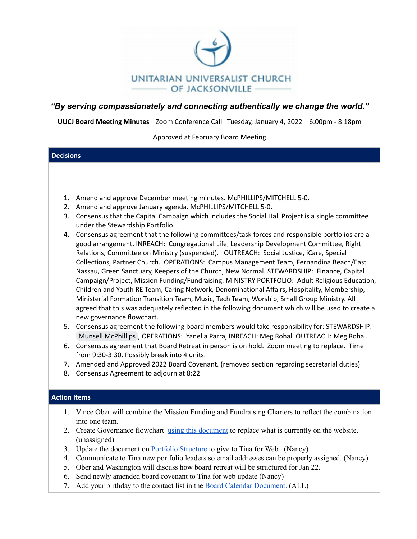

**UUCJ Board Meeting Minutes** Zoom Conference Call Tuesday, January 4, 2022 6:00pm - 8:18pm

Approved at February Board Meeting

| <b>Decisions</b>    |                                                                                                                                                                                                                                                                                                                                                                                                                                                                                                                                                                                                                                                                                                                                                                                                                                                                                                               |
|---------------------|---------------------------------------------------------------------------------------------------------------------------------------------------------------------------------------------------------------------------------------------------------------------------------------------------------------------------------------------------------------------------------------------------------------------------------------------------------------------------------------------------------------------------------------------------------------------------------------------------------------------------------------------------------------------------------------------------------------------------------------------------------------------------------------------------------------------------------------------------------------------------------------------------------------|
|                     |                                                                                                                                                                                                                                                                                                                                                                                                                                                                                                                                                                                                                                                                                                                                                                                                                                                                                                               |
|                     |                                                                                                                                                                                                                                                                                                                                                                                                                                                                                                                                                                                                                                                                                                                                                                                                                                                                                                               |
|                     |                                                                                                                                                                                                                                                                                                                                                                                                                                                                                                                                                                                                                                                                                                                                                                                                                                                                                                               |
|                     |                                                                                                                                                                                                                                                                                                                                                                                                                                                                                                                                                                                                                                                                                                                                                                                                                                                                                                               |
| 1.                  | Amend and approve December meeting minutes. McPHILLIPS/MITCHELL 5-0.                                                                                                                                                                                                                                                                                                                                                                                                                                                                                                                                                                                                                                                                                                                                                                                                                                          |
| 2.                  | Amend and approve January agenda. McPHILLIPS/MITCHELL 5-0.                                                                                                                                                                                                                                                                                                                                                                                                                                                                                                                                                                                                                                                                                                                                                                                                                                                    |
| 3.                  | Consensus that the Capital Campaign which includes the Social Hall Project is a single committee<br>under the Stewardship Portfolio.                                                                                                                                                                                                                                                                                                                                                                                                                                                                                                                                                                                                                                                                                                                                                                          |
| 4.                  | Consensus agreement that the following committees/task forces and responsible portfolios are a<br>good arrangement. INREACH: Congregational Life, Leadership Development Committee, Right<br>Relations, Committee on Ministry (suspended). OUTREACH: Social Justice, iCare, Special<br>Collections, Partner Church. OPERATIONS: Campus Management Team, Fernandina Beach/East<br>Nassau, Green Sanctuary, Keepers of the Church, New Normal. STEWARDSHIP: Finance, Capital<br>Campaign/Project, Mission Funding/Fundraising. MINISTRY PORTFOLIO: Adult Religious Education,<br>Children and Youth RE Team, Caring Network, Denominational Affairs, Hospitality, Membership,<br>Ministerial Formation Transition Team, Music, Tech Team, Worship, Small Group Ministry. All<br>agreed that this was adequately reflected in the following document which will be used to create a<br>new governance flowchart. |
| 5.                  | Consensus agreement the following board members would take responsibility for: STEWARDSHIP:<br>Munsell McPhillips, OPERATIONS: Yanella Parra, INREACH: Meg Rohal. OUTREACH: Meg Rohal.                                                                                                                                                                                                                                                                                                                                                                                                                                                                                                                                                                                                                                                                                                                        |
| 6.                  | Consensus agreement that Board Retreat in person is on hold. Zoom meeting to replace. Time<br>from 9:30-3:30. Possibly break into 4 units.                                                                                                                                                                                                                                                                                                                                                                                                                                                                                                                                                                                                                                                                                                                                                                    |
| 7.                  | Amended and Approved 2022 Board Covenant. (removed section regarding secretarial duties)                                                                                                                                                                                                                                                                                                                                                                                                                                                                                                                                                                                                                                                                                                                                                                                                                      |
| 8.                  | Consensus Agreement to adjourn at 8:22                                                                                                                                                                                                                                                                                                                                                                                                                                                                                                                                                                                                                                                                                                                                                                                                                                                                        |
|                     |                                                                                                                                                                                                                                                                                                                                                                                                                                                                                                                                                                                                                                                                                                                                                                                                                                                                                                               |
|                     |                                                                                                                                                                                                                                                                                                                                                                                                                                                                                                                                                                                                                                                                                                                                                                                                                                                                                                               |
| <b>Action Items</b> |                                                                                                                                                                                                                                                                                                                                                                                                                                                                                                                                                                                                                                                                                                                                                                                                                                                                                                               |
| 1.                  | Vince Ober will combine the Mission Funding and Fundraising Charters to reflect the combination<br>into one team.                                                                                                                                                                                                                                                                                                                                                                                                                                                                                                                                                                                                                                                                                                                                                                                             |
| $2_{-}$             | Create Governance flowchart using this document to replace what is currently on the website.<br>(unassigned)                                                                                                                                                                                                                                                                                                                                                                                                                                                                                                                                                                                                                                                                                                                                                                                                  |
|                     | $2$ . He does the decompany of $D_{n+1}C_1$ for $Q_{n+1}$ and $Q_{n+1}$ are $Q_{n+1}$ $Q_{n+1}$ and $Q_{n+1}$ and $Q_{n+1}$                                                                                                                                                                                                                                                                                                                                                                                                                                                                                                                                                                                                                                                                                                                                                                                   |

- 3. Update the document on **Portfolio [Structure](https://docs.google.com/document/d/1v4yeXI7ufxD_ya23yp2zCfOo9643aPHG/edit?usp=sharing&ouid=108618410980892576551&rtpof=true&sd=true)** to give to Tina for Web. (Nancy)
- 4. Communicate to Tina new portfolio leaders so email addresses can be properly assigned. (Nancy)
- 5. Ober and Washington will discuss how board retreat will be structured for Jan 22.
- 6. Send newly amended board covenant to Tina for web update (Nancy)
- 7. Add your birthday to the contact list in the Board Calendar [Document.](https://docs.google.com/document/d/17sUoQzugPhlCgTg67BfZmgIP1zGrsapC/edit?usp=sharing&ouid=108618410980892576551&rtpof=true&sd=true) (ALL)